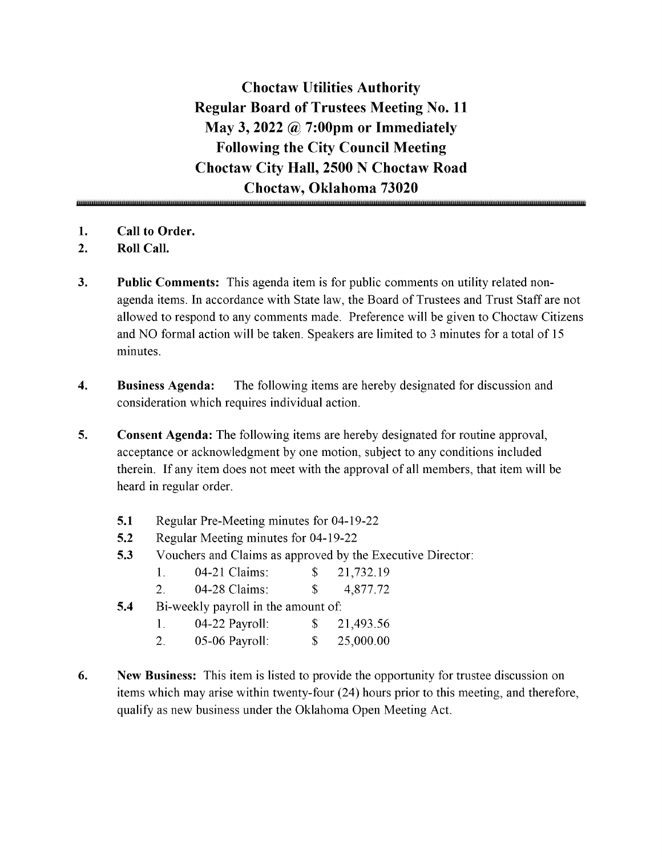Choctaw Utilities Authority Regular Board of Trustees Meeting No. 11 May 3, 2022  $\omega$  7:00pm or Immediately Following the City Council Meeting Choctaw City Hall, 2500 N Choctaw Road Choctaw, Oklahoma 73020

- 1. Call to Order.
- 2. Roll Call.
- 3. Public Comments: This agenda item is for public comments on utility related nonagenda items. In accordance with State law, the Board of Trustees and Trust Staff are not allowed to respond to any comments made. Preference will be given to Choctaw Citizens and NO formal action will be taken. Speakers are limited to <sup>3</sup> minutes for <sup>a</sup> total of <sup>15</sup> minutes.
- 4. Business Agenda: The following items are hereby designated for discussion and consideration which requires individual action.
- 5. Consent Agenda: The following items are hereby designated for routine approval, acceptance or acknowledgment by one motion, subject to any conditions included therein. If any item does not meet with the approval of all members, that item will be heard in regular order.
	- 5.1 Regular Pre-Meeting minutes for 04-19-22
	- 5.2 Regular Meeting minutes for 04-19-22
	- 5.3 Vouchers and Claims as approved by the Executive Director:

| 04-21 Claims: |  | 21,732.19 |
|---------------|--|-----------|
|---------------|--|-----------|

- 2. 04-28 Claims: \$ 4,877.72
- **5.4** Bi-weekly payroll in the amount of:

| 04-22 Payroll: | 21,493.56 |
|----------------|-----------|
|                |           |

- 2. 05-06 Payroll: \$ 25,000.00
- 6. New Business: This item is listed to provide the opportunity for trustee discussion on items which may arise within twenty-four (24) hours prior to this meeting, and therefore, qualify as new business under the Oklahoma Open Meeting Act.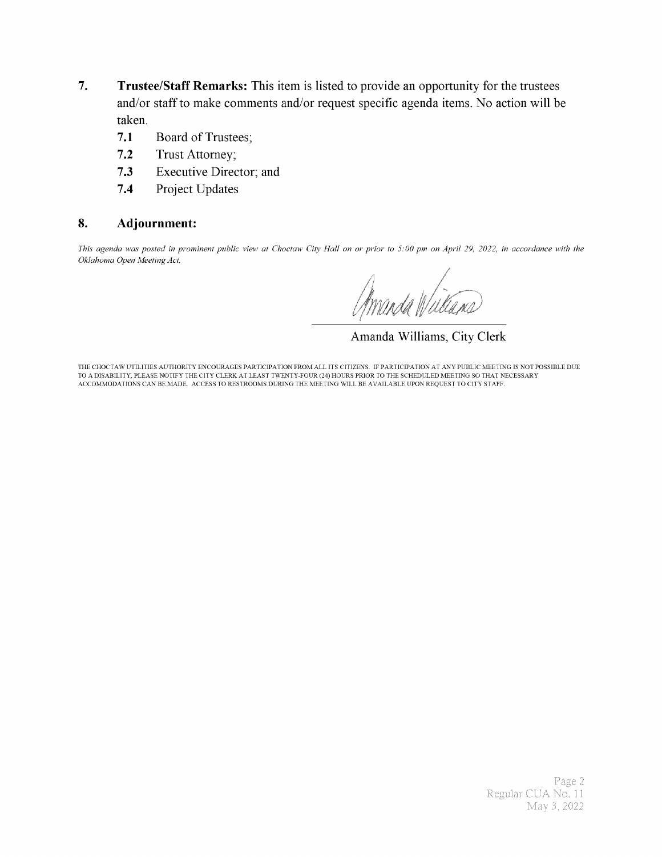- 7. Trustee/Staff Remarks: This item is listed to provide an opportunity for the trustees and/or staff to make comments and/or request specific agenda items. No action will be taken.
	- 7.1 Board of Trustees;
	- 7.2 Trust Attorney;
	- 7.3 Executive Director; and
	- 7.4 Project Updates

#### 8. Adjournment:

This agenda was posted in prominent public view at Choctaw City Hall on or prior to 5: 00 pm on April 29, 2022, in accordance with the Oklahoma Open Meeting Act.

f A

Amanda Williams, City Clerk

THE CHOCTAW UTILITIES AUTHORITY ENCOURAGES PARTICIPATION FROM ALL ITS CITIZENS. IF PARTICIPATION AT ANY PUBLIC MEETING IS NOT POSSIBLE DUE TO A DISABILITY, PLEASE NOTIFY THE CITY CLERK AT LEAST TWENTY- FOUR( 24) HOURS PRIOR TO THE SCHEDULED MEETING SO THAT NECESSARY ACCOMMODATIONS CAN BE MADE. ACCESS TO RESTROOMS DURING THE MEETING WILL BE AVAILABLE UPON REQUEST TO CITY STAFF.

> Page 2 Regular CUA No. 11 May 3, 2022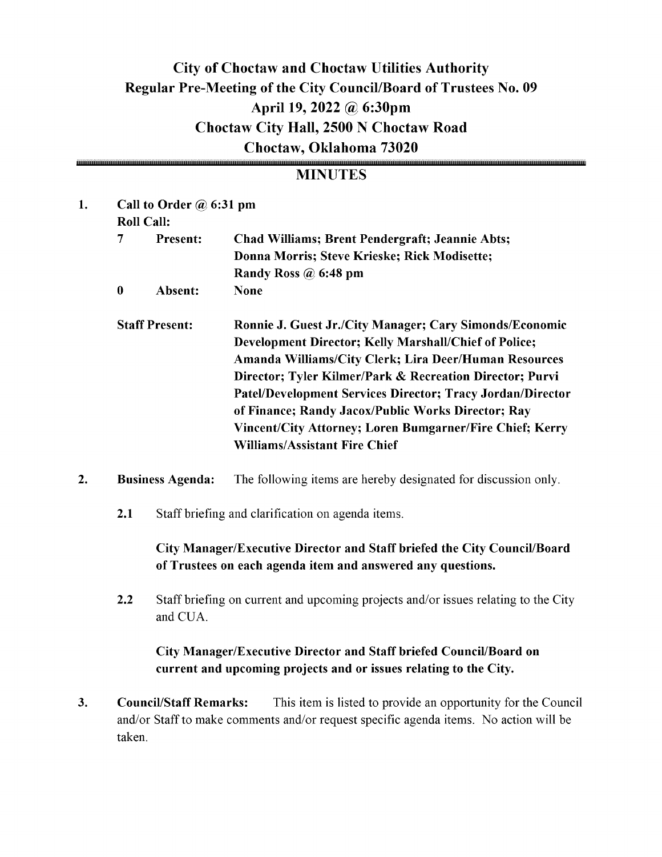# City of Choctaw and Choctaw Utilities Authority Regular Pre-Meeting of the City Council/Board of Trustees No. 09 April 19, 2022 @ 6:30pm Choctaw City Hall, 2500 N Choctaw Road Choctaw, Oklahoma 73020

## **MINUTES**

| 1. |                  | Call to Order $\omega$ 6:31 pm<br><b>Roll Call:</b> |                                                                                                                                                                                                                                                                                                                                                                                                                                                                      |
|----|------------------|-----------------------------------------------------|----------------------------------------------------------------------------------------------------------------------------------------------------------------------------------------------------------------------------------------------------------------------------------------------------------------------------------------------------------------------------------------------------------------------------------------------------------------------|
|    | $\overline{7}$   | <b>Present:</b>                                     | <b>Chad Williams; Brent Pendergraft; Jeannie Abts;</b><br>Donna Morris; Steve Krieske; Rick Modisette;<br>Randy Ross $\omega$ 6:48 pm                                                                                                                                                                                                                                                                                                                                |
|    | $\boldsymbol{0}$ | Absent:                                             | <b>None</b>                                                                                                                                                                                                                                                                                                                                                                                                                                                          |
|    |                  | <b>Staff Present:</b>                               | <b>Ronnie J. Guest Jr./City Manager; Cary Simonds/Economic</b><br>Development Director; Kelly Marshall/Chief of Police;<br>Amanda Williams/City Clerk; Lira Deer/Human Resources<br>Director; Tyler Kilmer/Park & Recreation Director; Purvi<br>Patel/Development Services Director; Tracy Jordan/Director<br>of Finance; Randy Jacox/Public Works Director; Ray<br>Vincent/City Attorney; Loren Bumgarner/Fire Chief; Kerry<br><b>Williams/Assistant Fire Chief</b> |

- 2. Business Agenda: The following items are hereby designated for discussion only.
	- 2.1 Staff briefing and clarification on agenda items.

### City Manager/Executive Director and Staff briefed the City Council/Board of Trustees on each agenda item and answered any questions.

2.2 Staff briefing on current and upcoming projects and/or issues relating to the City and CUA.

### City Manager/Executive Director and Staff briefed Council/Board on current and upcoming projects and or issues relating to the City.

3. Council/Staff Remarks: This item is listed to provide an opportunity for the Council and/or Staff to make comments and/or request specific agenda items. No action will be taken.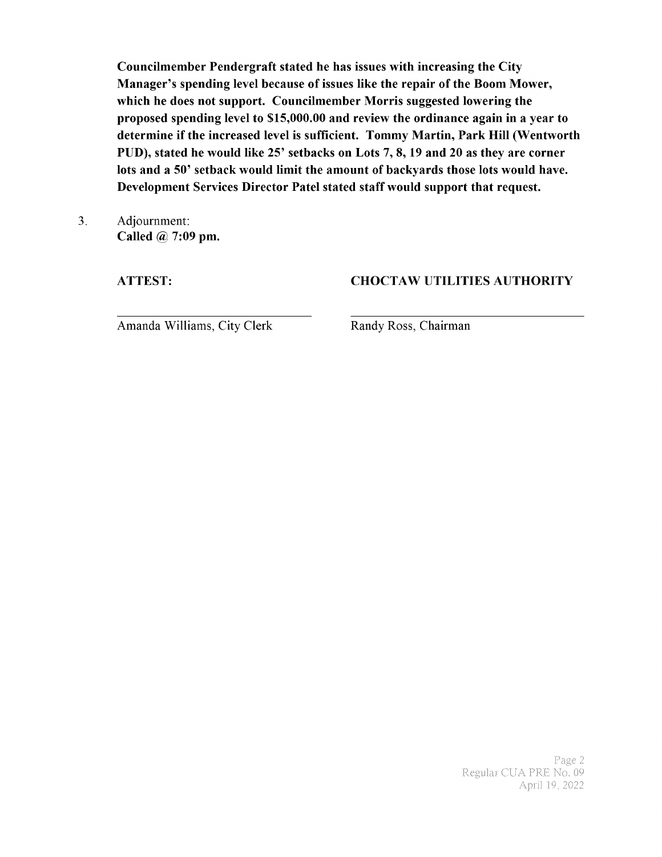Councilmember Pendergraft stated he has issues with increasing the City Manager's spending level because of issues like the repair of the Boom Mower, which he does not support. Councilmember Morris suggested lowering the proposed spending level to \$15,000.00 and review the ordinance again in a year to determine if the increased level is sufficient. Tommy Martin, Park Hill (Wentworth PUD), stated he would like 25' setbacks on Lots 7, 8, 19 and 20 as they are corner lots and <sup>a</sup> 50' setback would limit the amount of backyards those lots would have. Development Services Director Patel stated staff would support that request.

3. Adjournment: Called @ 7:09 pm.

### ATTEST: CHOCTAW UTILITIES AUTHORITY

Amanda Williams, City Clerk Randy Ross, Chairman

Page 2 ular CUA PRE No. 09 April 19, 2022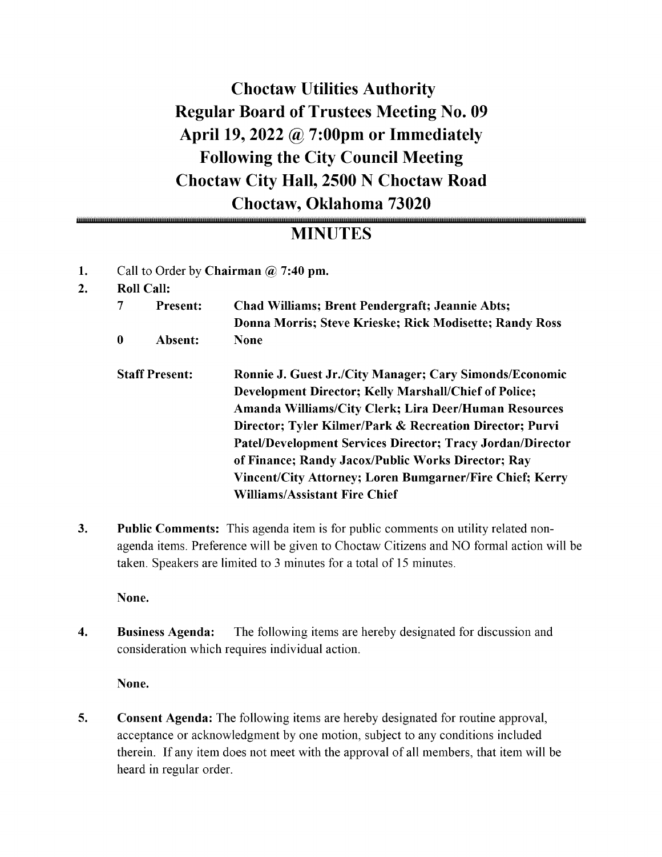Choctaw Utilities Authority Regular Board of Trustees Meeting No. 09 April 19, 2022 @ 7:00pm or Immediately Following the City Council Meeting Choctaw City Hall, 2500 N Choctaw Road Choctaw, Oklahoma 73020

# MINUTES

- 1. Call to Order by Chairman  $\omega$  7:40 pm.
- 2. Roll Call:

| 7                     | <b>Present:</b> | <b>Chad Williams; Brent Pendergraft; Jeannie Abts;</b><br>Donna Morris; Steve Krieske; Rick Modisette; Randy Ross       |
|-----------------------|-----------------|-------------------------------------------------------------------------------------------------------------------------|
| 0                     | Absent:         | <b>None</b>                                                                                                             |
| <b>Staff Present:</b> |                 | <b>Ronnie J. Guest Jr./City Manager; Cary Simonds/Economic</b><br>Development Director; Kelly Marshall/Chief of Police; |
|                       |                 | Amanda Williams/City Clerk; Lira Deer/Human Resources                                                                   |
|                       |                 | Director; Tyler Kilmer/Park & Recreation Director; Purvi                                                                |
|                       |                 | Patel/Development Services Director; Tracy Jordan/Director                                                              |
|                       |                 | of Finance; Randy Jacox/Public Works Director; Ray                                                                      |
|                       |                 | Vincent/City Attorney; Loren Bumgarner/Fire Chief; Kerry                                                                |
|                       |                 | <b>Williams/Assistant Fire Chief</b>                                                                                    |
|                       |                 |                                                                                                                         |

3. Public Comments: This agenda item is for public comments on utility related nonagenda items. Preference will be given to Choctaw Citizens and NO formal action will be taken. Speakers are limited to <sup>3</sup> minutes for <sup>a</sup> total of 15 minutes.

None.

4. Business Agenda: The following items are hereby designated for discussion and consideration which requires individual action.

None.

5. Consent Agenda: The following items are hereby designated for routine approval, acceptance or acknowledgment by one motion, subject to any conditions included therein. If any item does not meet with the approval of all members, that item will be heard in regular order.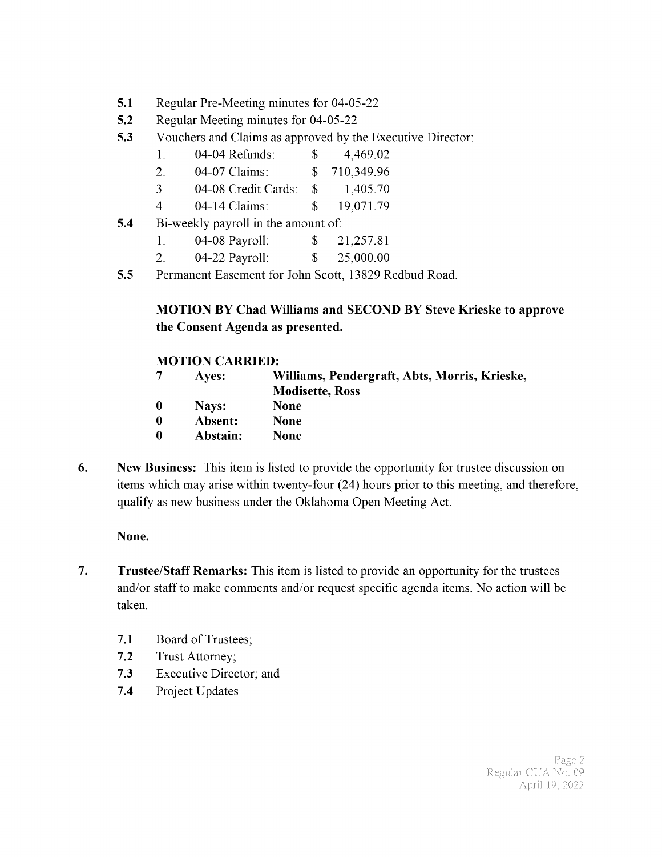- 5.1 Regular Pre-Meeting minutes for 04-05-22
- 5.2 Regular Meeting minutes for 04-05-22
- 5.3 Vouchers and Claims as approved by the Executive Director:
	- 1. 04-04 Refunds:  $$ 4,469.02$
	- 2. 04-07 Claims: \$ 710,349.96
	- 3. 04- 08 Credit Cards: \$ 1, 405. 70
	- 4. 04-14 Claims: \$ 19,071.79
- 5.4 Bi-weekly payroll in the amount of:
	- 1. 04-08 Payroll: \$ 21,257.81
	- 2. 04-22 Payroll: \$ 25,000.00
- 5.5 Permanent Easement for John Scott, 13829 Redbud Road.

## MOTION BY Chad Williams and SECOND BY Steve Krieske to approve the Consent Agenda as presented.

#### MOTION CARRIED:

- <sup>7</sup> Ayes: Williams, Pendergraft, Abts, Morris, Krieske,
	- Modisette, Ross
- 0 Nays: None
- 0 Absent: None
- 0 Abstain: None
- 6. New Business: This item is listed to provide the opportunity for trustee discussion on items which may arise within twenty-four (24) hours prior to this meeting, and therefore, qualify as new business under the Oklahoma Open Meeting Act.

#### None.

- 7. Trustee/Staff Remarks: This item is listed to provide an opportunity for the trustees and/or staff to make comments and/or request specific agenda items. No action will be taken.
	- 7.1 Board of Trustees;
	- 7.2 Trust Attorney;
	- 7.3 Executive Director; and
	- 7.4 Project Updates

Page 2 Regular CUA No. 09 April 19, 2022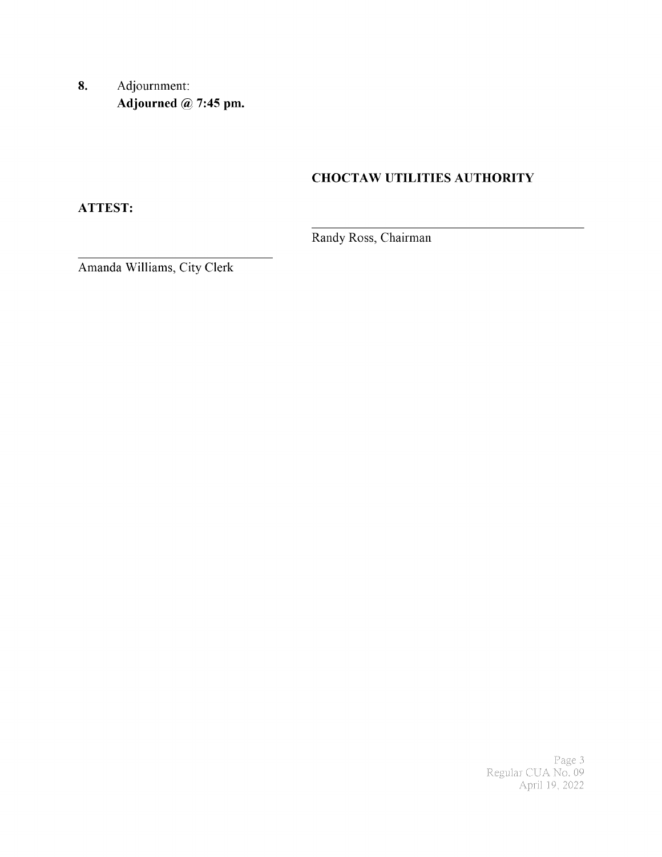8. Adjournment: Adjourned @ 7:45 pm.

## **CHOCTAW UTILITIES AUTHORITY**

**ATTEST:** 

Randy Ross, Chairman

Amanda Williams, City Clerk

Page 3<br>Regular CUA No. 09<br>April 19, 2022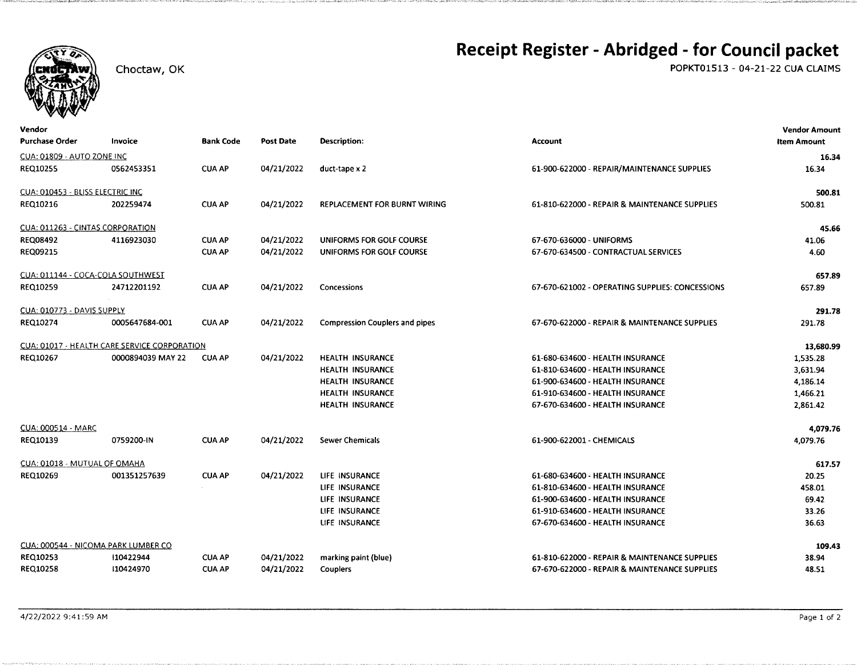

Choctaw, OK

# Receipt Register - Abridged - for Council packet

POPKT01513 - 04-21-22 CUA CLAIMS

| Vendor                           |                                              |                  |                  |                                       |                                                 | <b>Vendor Amount</b> |
|----------------------------------|----------------------------------------------|------------------|------------------|---------------------------------------|-------------------------------------------------|----------------------|
| <b>Purchase Order</b>            | Invoice                                      | <b>Bank Code</b> | <b>Post Date</b> | <b>Description:</b>                   | <b>Account</b>                                  | <b>Item Amount</b>   |
| CUA: 01809 - AUTO ZONE INC       |                                              |                  |                  |                                       |                                                 | 16.34                |
| REQ10255                         | 0562453351                                   | <b>CUA AP</b>    | 04/21/2022       | duct-tape x 2                         | 61-900-622000 - REPAIR/MAINTENANCE SUPPLIES     | 16.34                |
| CUA: 010453 - BLISS ELECTRIC INC |                                              |                  |                  |                                       |                                                 | 500.81               |
| REQ10216                         | 202259474                                    | <b>CUA AP</b>    | 04/21/2022       | <b>REPLACEMENT FOR BURNT WIRING</b>   | 61-810-622000 - REPAIR & MAINTENANCE SUPPLIES   | 500.81               |
| CUA: 011263 - CINTAS CORPORATION |                                              |                  |                  |                                       |                                                 | 45.66                |
| <b>REQ08492</b>                  | 4116923030                                   | <b>CUA AP</b>    | 04/21/2022       | UNIFORMS FOR GOLF COURSE              | 67-670-636000 - UNIFORMS                        | 41.06                |
| <b>REQ09215</b>                  |                                              | <b>CUA AP</b>    | 04/21/2022       | UNIFORMS FOR GOLF COURSE              | 67-670-634500 - CONTRACTUAL SERVICES            | 4.60                 |
|                                  | CUA: 011144 - COCA-COLA SOUTHWEST            |                  |                  |                                       |                                                 | 657.89               |
| <b>REQ10259</b>                  | 24712201192                                  | <b>CUA AP</b>    | 04/21/2022       | Concessions                           | 67-670-621002 - OPERATING SUPPLIES: CONCESSIONS | 657.89               |
| CUA: 010773 - DAVIS SUPPLY       |                                              |                  |                  |                                       |                                                 | 291.78               |
| REQ10274                         | 0005647684-001                               | <b>CUA AP</b>    | 04/21/2022       | <b>Compression Couplers and pipes</b> | 67-670-622000 - REPAIR & MAINTENANCE SUPPLIES   | 291.78               |
|                                  | CUA: 01017 - HEALTH CARE SERVICE CORPORATION |                  |                  |                                       |                                                 | 13,680.99            |
| REQ10267                         | 0000894039 MAY 22                            | <b>CUA AP</b>    | 04/21/2022       | <b>HEALTH INSURANCE</b>               | 61-680-634600 - HEALTH INSURANCE                | 1,535.28             |
|                                  |                                              |                  |                  | <b>HEALTH INSURANCE</b>               | 61-810-634600 - HEALTH INSURANCE                | 3,631.94             |
|                                  |                                              |                  |                  | <b>HEALTH INSURANCE</b>               | 61-900-634600 - HEALTH INSURANCE                | 4,186.14             |
|                                  |                                              |                  |                  | HEALTH INSURANCE                      | 61-910-634600 - HEALTH INSURANCE                | 1,466.21             |
|                                  |                                              |                  |                  | HEALTH INSURANCE                      | 67-670-634600 - HEALTH INSURANCE                | 2,861.42             |
| <b>CUA: 000514 - MARC</b>        |                                              |                  |                  |                                       |                                                 | 4,079.76             |
| <b>REQ10139</b>                  | 0759200-IN                                   | <b>CUA AP</b>    | 04/21/2022       | <b>Sewer Chemicals</b>                | 61-900-622001 - CHEMICALS                       | 4,079.76             |
| CUA: 01018 - MUTUAL OF OMAHA     |                                              |                  |                  |                                       |                                                 | 617.57               |
| REQ10269                         | 001351257639                                 | <b>CUA AP</b>    | 04/21/2022       | LIFE INSURANCE                        | 61-680-634600 - HEALTH INSURANCE                | 20.25                |
|                                  |                                              |                  |                  | LIFE INSURANCE                        | 61-810-634600 - HEALTH INSURANCE                | 458.01               |
|                                  |                                              |                  |                  | LIFE INSURANCE                        | 61-900-634600 - HEALTH INSURANCE                | 69.42                |
|                                  |                                              |                  |                  | LIFE INSURANCE                        | 61-910-634600 - HEALTH INSURANCE                | 33.26                |
|                                  |                                              |                  |                  | LIFE INSURANCE                        | 67-670-634600 - HEALTH INSURANCE                | 36.63                |
|                                  | CUA: 000544 - NICOMA PARK LUMBER CO          |                  |                  |                                       |                                                 | 109.43               |
| REQ10253                         | 110422944                                    | <b>CUA AP</b>    | 04/21/2022       | marking paint (blue)                  | 61-810-622000 - REPAIR & MAINTENANCE SUPPLIES   | 38.94                |
| <b>REQ10258</b>                  | 10424970                                     | <b>CUA AP</b>    | 04/21/2022       | Couplers                              | 67-670-622000 - REPAIR & MAINTENANCE SUPPLIES   | 48.51                |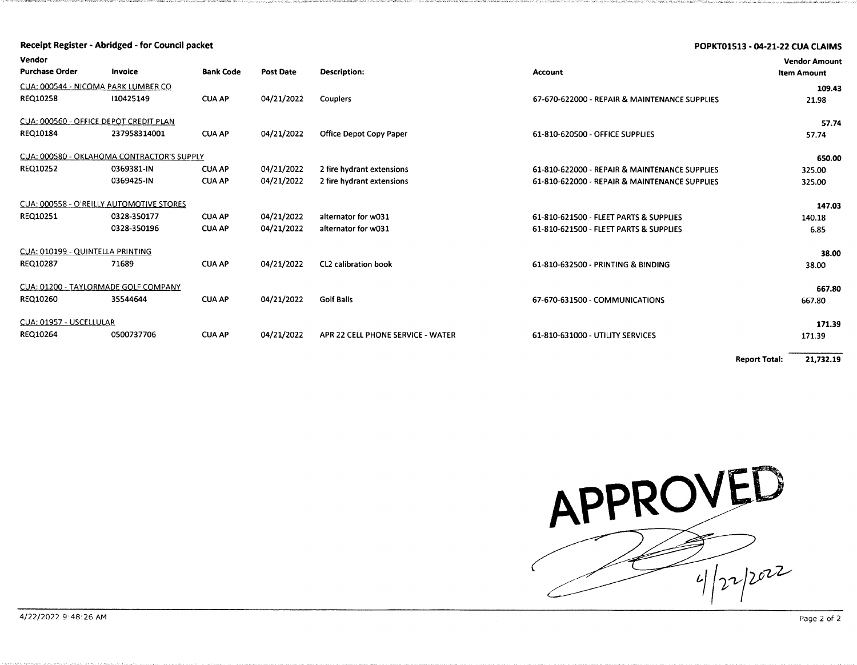|                                          | Receipt Register - Abridged - for Council packet |                  |                  |                                   |                                               | POPKT01513 - 04-21-22 CUA CLAIMS           |
|------------------------------------------|--------------------------------------------------|------------------|------------------|-----------------------------------|-----------------------------------------------|--------------------------------------------|
| Vendor<br><b>Purchase Order</b>          | Invoice                                          | <b>Bank Code</b> | <b>Post Date</b> | Description:                      | Account                                       | <b>Vendor Amount</b><br><b>Item Amount</b> |
| CUA: 000544 - NICOMA PARK LUMBER CO      |                                                  |                  |                  |                                   |                                               |                                            |
| REQ10258                                 | 110425149                                        | <b>CUA AP</b>    | 04/21/2022       | Couplers                          | 67-670-622000 - REPAIR & MAINTENANCE SUPPLIES | 21.98                                      |
| CUA: 000560 - OFFICE DEPOT CREDIT PLAN   |                                                  |                  |                  |                                   |                                               | 57.74                                      |
| REQ10184                                 | 237958314001                                     | <b>CUA AP</b>    | 04/21/2022       | <b>Office Depot Copy Paper</b>    | 61-810-620500 - OFFICE SUPPLIES               | 57.74                                      |
|                                          | CUA: 000580 - OKLAHOMA CONTRACTOR'S SUPPLY       |                  |                  |                                   |                                               | 650.00                                     |
| REQ10252                                 | 0369381-IN                                       | <b>CUA AP</b>    | 04/21/2022       | 2 fire hydrant extensions         | 61-810-622000 - REPAIR & MAINTENANCE SUPPLIES | 325.00                                     |
|                                          | 0369425-IN                                       | <b>CUA AP</b>    | 04/21/2022       | 2 fire hydrant extensions         | 61-810-622000 - REPAIR & MAINTENANCE SUPPLIES | 325.00                                     |
| CUA: 000558 - O'REILLY AUTOMOTIVE STORES |                                                  |                  |                  |                                   |                                               | 147.03                                     |
| REQ10251                                 | 0328-350177                                      | <b>CUA AP</b>    | 04/21/2022       | alternator for w031               | 61-810-621500 - FLEET PARTS & SUPPLIES        | 140.18                                     |
|                                          | 0328-350196                                      | <b>CUA AP</b>    | 04/21/2022       | alternator for w031               | 61-810-621500 - FLEET PARTS & SUPPLIES        | 6.85                                       |
| CUA: 010199 - QUINTELLA PRINTING         |                                                  |                  |                  |                                   |                                               | 38.00                                      |
| REQ10287                                 | 71689                                            | <b>CUA AP</b>    | 04/21/2022       | <b>CL2 calibration book</b>       | 61-810-632500 - PRINTING & BINDING            | 38.00                                      |
| CUA: 01200 - TAYLORMADE GOLF COMPANY     |                                                  |                  |                  |                                   |                                               | 667.80                                     |
| REQ10260                                 | 35544644                                         | <b>CUA AP</b>    | 04/21/2022       | <b>Golf Balls</b>                 | 67-670-631500 - COMMUNICATIONS                | 667.80                                     |
| CUA: 01957 - USCELLULAR                  |                                                  |                  |                  |                                   |                                               | 171.39                                     |
| <b>REQ10264</b>                          | 0500737706                                       | <b>CUA AP</b>    | 04/21/2022       | APR 22 CELL PHONE SERVICE - WATER | 61-810-631000 - UTILITY SERVICES              | 171.39                                     |
|                                          |                                                  |                  |                  |                                   |                                               |                                            |

**Report Total:** 21,732.19

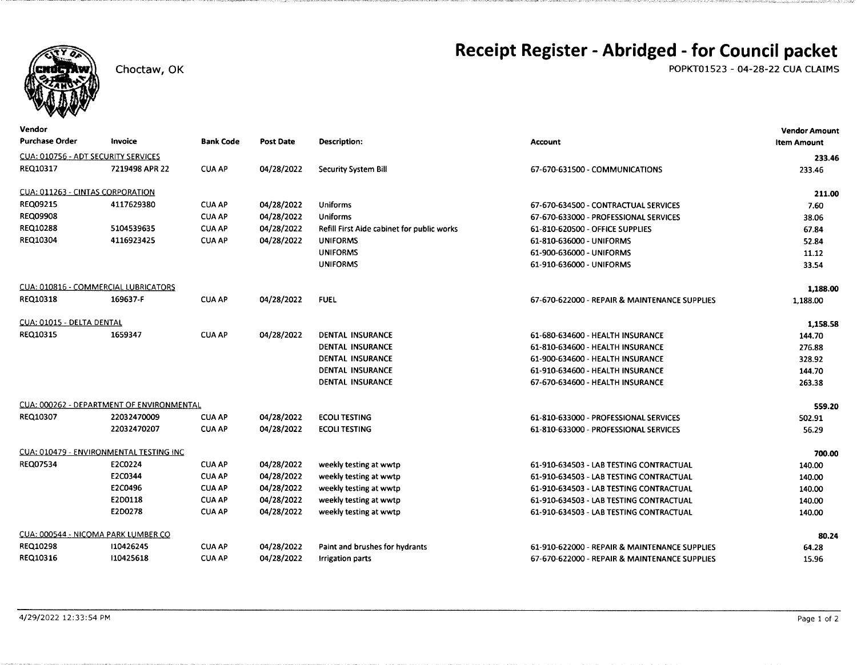

#### Choctaw, OK

# Receipt Register - Abridged - for Council packet

POPKT01523 - 04-28-22 CUA CLAIMS

| Vendor                                     |                                           |                  |                  |                                            |                                               | <b>Vendor Amount</b> |
|--------------------------------------------|-------------------------------------------|------------------|------------------|--------------------------------------------|-----------------------------------------------|----------------------|
| <b>Purchase Order</b>                      | Invoice                                   | <b>Bank Code</b> | <b>Post Date</b> | <b>Description:</b>                        | <b>Account</b>                                | <b>Item Amount</b>   |
| <b>CUA: 010756 - ADT SECURITY SERVICES</b> |                                           |                  |                  |                                            |                                               | 233.46               |
| REQ10317                                   | 7219498 APR 22                            | <b>CUA AP</b>    | 04/28/2022       | <b>Security System Bill</b>                | 67-670-631500 - COMMUNICATIONS                | 233.46               |
| CUA: 011263 - CINTAS CORPORATION           |                                           |                  |                  |                                            |                                               | 211.00               |
| <b>REQ09215</b>                            | 4117629380                                | <b>CUA AP</b>    | 04/28/2022       | <b>Uniforms</b>                            | 67-670-634500 - CONTRACTUAL SERVICES          | 7.60                 |
| <b>REQ09908</b>                            |                                           | <b>CUA AP</b>    | 04/28/2022       | <b>Uniforms</b>                            | 67-670-633000 - PROFESSIONAL SERVICES         | 38.06                |
| REQ10288                                   | 5104539635                                | <b>CUA AP</b>    | 04/28/2022       | Refill First Aide cabinet for public works | 61-810-620500 - OFFICE SUPPLIES               | 67.84                |
| REQ10304                                   | 4116923425                                | <b>CUA AP</b>    | 04/28/2022       | <b>UNIFORMS</b>                            | 61-810-636000 - UNIFORMS                      | 52.84                |
|                                            |                                           |                  |                  | <b>UNIFORMS</b>                            | 61-900-636000 - UNIFORMS                      | 11.12                |
|                                            |                                           |                  |                  | <b>UNIFORMS</b>                            | 61-910-636000 - UNIFORMS                      | 33.54                |
|                                            | CUA: 010816 - COMMERCIAL LUBRICATORS      |                  |                  |                                            |                                               | 1,188.00             |
| REQ10318                                   | 169637-F                                  | <b>CUA AP</b>    | 04/28/2022       | <b>FUEL</b>                                | 67-670-622000 - REPAIR & MAINTENANCE SUPPLIES | 1,188.00             |
| CUA: 01015 - DELTA DENTAL                  |                                           |                  |                  |                                            |                                               | 1,158.58             |
| REQ10315                                   | 1659347                                   | <b>CUA AP</b>    | 04/28/2022       | <b>DENTAL INSURANCE</b>                    | 61-680-634600 - HEALTH INSURANCE              | 144.70               |
|                                            |                                           |                  |                  | <b>DENTAL INSURANCE</b>                    | 61-810-634600 - HEALTH INSURANCE              | 276.88               |
|                                            |                                           |                  |                  | DENTAL INSURANCE                           | 61-900-634600 - HEALTH INSURANCE              | 328.92               |
|                                            |                                           |                  |                  | DENTAL INSURANCE                           | 61-910-634600 - HEALTH INSURANCE              | 144.70               |
|                                            |                                           |                  |                  | DENTAL INSURANCE                           | 67-670-634600 - HEALTH INSURANCE              | 263.38               |
|                                            | CUA: 000262 - DEPARTMENT OF ENVIRONMENTAL |                  |                  |                                            |                                               | 559.20               |
| REQ10307                                   | 22032470009                               | <b>CUA AP</b>    | 04/28/2022       | <b>ECOLITESTING</b>                        | 61-810-633000 - PROFESSIONAL SERVICES         | 502.91               |
|                                            | 22032470207                               | <b>CUA AP</b>    | 04/28/2022       | <b>ECOLITESTING</b>                        | 61-810-633000 - PROFESSIONAL SERVICES         | 56.29                |
|                                            | CUA: 010479 - ENVIRONMENTAL TESTING INC   |                  |                  |                                            |                                               | 700.00               |
| REQ07534                                   | E2C0224                                   | <b>CUA AP</b>    | 04/28/2022       | weekly testing at wwtp                     | 61-910-634503 - LAB TESTING CONTRACTUAL       | 140.00               |
|                                            | E2C0344                                   | <b>CUA AP</b>    | 04/28/2022       | weekly testing at wwtp                     | 61-910-634503 - LAB TESTING CONTRACTUAL       | 140.00               |
|                                            | E2C0496                                   | <b>CUA AP</b>    | 04/28/2022       | weekly testing at wwtp                     | 61-910-634503 - LAB TESTING CONTRACTUAL       | 140.00               |
|                                            | E2D0118                                   | <b>CUA AP</b>    | 04/28/2022       | weekly testing at wwtp                     | 61-910-634503 - LAB TESTING CONTRACTUAL       | 140.00               |
|                                            | E2D0278                                   | <b>CUA AP</b>    | 04/28/2022       | weekly testing at wwtp                     | 61-910-634503 - LAB TESTING CONTRACTUAL       | 140.00               |
|                                            | CUA: 000544 - NICOMA PARK LUMBER CO       |                  |                  |                                            |                                               | 80.24                |
| REQ10298                                   | 110426245                                 | <b>CUA AP</b>    | 04/28/2022       | Paint and brushes for hydrants             | 61-910-622000 - REPAIR & MAINTENANCE SUPPLIES | 64.28                |
| REQ10316                                   | 110425618                                 | <b>CUA AP</b>    | 04/28/2022       | <b>Irrigation parts</b>                    | 67-670-622000 - REPAIR & MAINTENANCE SUPPLIES | 15.96                |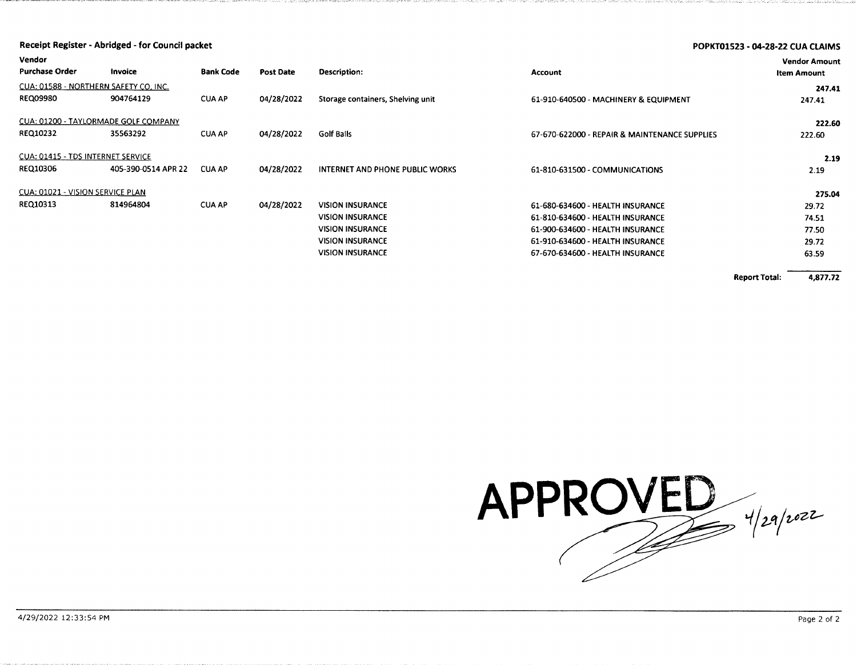|                                                             | Receipt Register - Abridged - for Council packet |                  |            |                                                                                                                                     |                                                                                                                                                                                  | <b>POPKT01523 - 04-28-22 CUA CLAIMS</b> |                                            |
|-------------------------------------------------------------|--------------------------------------------------|------------------|------------|-------------------------------------------------------------------------------------------------------------------------------------|----------------------------------------------------------------------------------------------------------------------------------------------------------------------------------|-----------------------------------------|--------------------------------------------|
| Vendor<br><b>Purchase Order</b>                             | Invoice                                          | <b>Bank Code</b> | Post Date  | Description:                                                                                                                        | <b>Account</b>                                                                                                                                                                   |                                         | <b>Vendor Amount</b><br><b>Item Amount</b> |
| CUA: 01588 - NORTHERN SAFETY CO, INC.<br><b>REQ09980</b>    | 904764129                                        | <b>CUA AP</b>    | 04/28/2022 | Storage containers, Shelving unit                                                                                                   | 61-910-640500 - MACHINERY & EQUIPMENT                                                                                                                                            |                                         | 247.41<br>247.41                           |
| CUA: 01200 - TAYLORMADE GOLF COMPANY<br><b>REQ10232</b>     | 35563292                                         | <b>CUA AP</b>    | 04/28/2022 | Golf Balls                                                                                                                          | 67-670-622000 - REPAIR & MAINTENANCE SUPPLIES                                                                                                                                    |                                         | 222.60<br>222.60                           |
| <b>CUA: 01415 - TDS INTERNET SERVICE</b><br><b>REQ10306</b> | 405-390-0514 APR 22                              | <b>CUA AP</b>    | 04/28/2022 | <b>INTERNET AND PHONE PUBLIC WORKS</b>                                                                                              | 61-810-631500 - COMMUNICATIONS                                                                                                                                                   |                                         | 2.19<br>2.19                               |
| <b>CUA: 01021 - VISION SERVICE PLAN</b>                     |                                                  |                  |            |                                                                                                                                     |                                                                                                                                                                                  |                                         | 275.04                                     |
| REQ10313                                                    | 814964804                                        | <b>CUA AP</b>    | 04/28/2022 | <b>VISION INSURANCE</b><br><b>VISION INSURANCE</b><br><b>VISION INSURANCE</b><br><b>VISION INSURANCE</b><br><b>VISION INSURANCE</b> | 61-680-634600 - HEALTH INSURANCE<br>61-810-634600 - HEALTH INSURANCE<br>61-900-634600 - HEALTH INSURANCE<br>61-910-634600 - HEALTH INSURANCE<br>67-670-634600 - HEALTH INSURANCE |                                         | 29.72<br>74.51<br>77.50<br>29.72<br>63.59  |
|                                                             |                                                  |                  |            |                                                                                                                                     |                                                                                                                                                                                  | <b>Report Total:</b>                    | 4,877.72                                   |